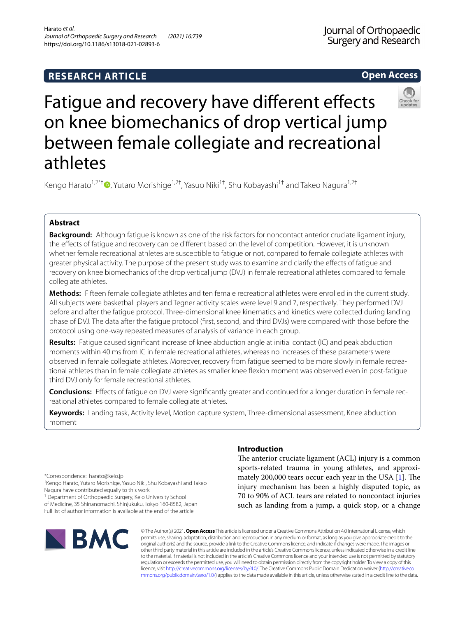# **RESEARCH ARTICLE**

**Open Access**

# Fatigue and recovery have different effects on knee biomechanics of drop vertical jump between female collegiate and recreational athletes

Kengo Harato<sup>1[,](http://orcid.org/0000-0003-1796-2823)2\*†</sup>  $\bullet$ , Yutaro Morishige<sup>1,2†</sup>, Yasuo Niki<sup>1†</sup>, Shu Kobayashi<sup>1†</sup> and Takeo Nagura<sup>1,2†</sup>

# **Abstract**

**Background:** Although fatigue is known as one of the risk factors for noncontact anterior cruciate ligament injury, the efects of fatigue and recovery can be diferent based on the level of competition. However, it is unknown whether female recreational athletes are susceptible to fatigue or not, compared to female collegiate athletes with greater physical activity. The purpose of the present study was to examine and clarify the efects of fatigue and recovery on knee biomechanics of the drop vertical jump (DVJ) in female recreational athletes compared to female collegiate athletes.

**Methods:** Fifteen female collegiate athletes and ten female recreational athletes were enrolled in the current study. All subjects were basketball players and Tegner activity scales were level 9 and 7, respectively. They performed DVJ before and after the fatigue protocol. Three-dimensional knee kinematics and kinetics were collected during landing phase of DVJ. The data after the fatigue protocol (frst, second, and third DVJs) were compared with those before the protocol using one-way repeated measures of analysis of variance in each group.

**Results:** Fatigue caused signifcant increase of knee abduction angle at initial contact (IC) and peak abduction moments within 40 ms from IC in female recreational athletes, whereas no increases of these parameters were observed in female collegiate athletes. Moreover, recovery from fatigue seemed to be more slowly in female recreational athletes than in female collegiate athletes as smaller knee fexion moment was observed even in post-fatigue third DVJ only for female recreational athletes.

**Conclusions:** Efects of fatigue on DVJ were signifcantly greater and continued for a longer duration in female recreational athletes compared to female collegiate athletes.

**Keywords:** Landing task, Activity level, Motion capture system, Three-dimensional assessment, Knee abduction moment

\*Correspondence: harato@keio.jp

† Kengo Harato, Yutaro Morishige, Yasuo Niki, Shu Kobayashi and Takeo Nagura have contributed equally to this work

<sup>1</sup> Department of Orthopaedic Surgery, Keio University School of Medicine, 35 Shinanomachi, Shinjukuku, Tokyo 160-8582, Japan Full list of author information is available at the end of the article



## **Introduction**

The anterior cruciate ligament (ACL) injury is a common sports-related trauma in young athletes, and approximately 200,000 tears occur each year in the USA  $[1]$  $[1]$ . The injury mechanism has been a highly disputed topic, as 70 to 90% of ACL tears are related to noncontact injuries such as landing from a jump, a quick stop, or a change

© The Author(s) 2021. **Open Access** This article is licensed under a Creative Commons Attribution 4.0 International License, which permits use, sharing, adaptation, distribution and reproduction in any medium or format, as long as you give appropriate credit to the original author(s) and the source, provide a link to the Creative Commons licence, and indicate if changes were made. The images or other third party material in this article are included in the article's Creative Commons licence, unless indicated otherwise in a credit line to the material. If material is not included in the article's Creative Commons licence and your intended use is not permitted by statutory regulation or exceeds the permitted use, you will need to obtain permission directly from the copyright holder. To view a copy of this licence, visit [http://creativecommons.org/licenses/by/4.0/.](http://creativecommons.org/licenses/by/4.0/) The Creative Commons Public Domain Dedication waiver ([http://creativeco](http://creativecommons.org/publicdomain/zero/1.0/) [mmons.org/publicdomain/zero/1.0/](http://creativecommons.org/publicdomain/zero/1.0/)) applies to the data made available in this article, unless otherwise stated in a credit line to the data.

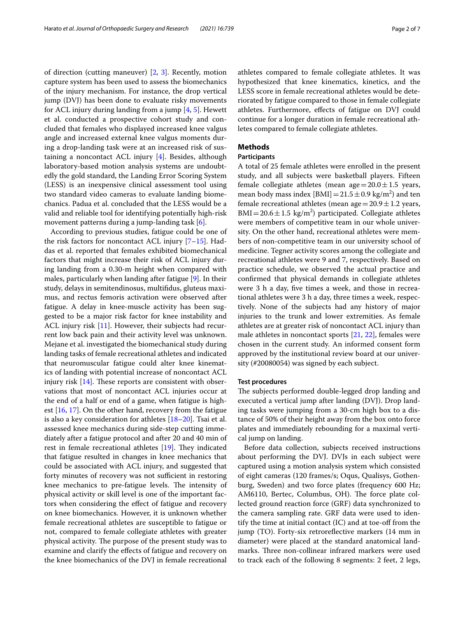of direction (cutting maneuver) [[2](#page-6-1), [3](#page-6-2)]. Recently, motion capture system has been used to assess the biomechanics of the injury mechanism. For instance, the drop vertical jump (DVJ) has been done to evaluate risky movements for ACL injury during landing from a jump [\[4](#page-6-3), [5\]](#page-6-4). Hewett et al. conducted a prospective cohort study and concluded that females who displayed increased knee valgus angle and increased external knee valgus moments during a drop-landing task were at an increased risk of sustaining a noncontact ACL injury [[4\]](#page-6-3). Besides, although laboratory-based motion analysis systems are undoubtedly the gold standard, the Landing Error Scoring System (LESS) is an inexpensive clinical assessment tool using two standard video cameras to evaluate landing biomechanics. Padua et al. concluded that the LESS would be a valid and reliable tool for identifying potentially high-risk movement patterns during a jump-landing task [[6\]](#page-6-5).

According to previous studies, fatigue could be one of the risk factors for noncontact ACL injury [\[7](#page-6-6)[–15](#page-6-7)]. Haddas et al. reported that females exhibited biomechanical factors that might increase their risk of ACL injury during landing from a 0.30-m height when compared with males, particularly when landing after fatigue [\[9](#page-6-8)]. In their study, delays in semitendinosus, multifdus, gluteus maximus, and rectus femoris activation were observed after fatigue. A delay in knee-muscle activity has been suggested to be a major risk factor for knee instability and ACL injury risk [\[11](#page-6-9)]. However, their subjects had recurrent low back pain and their activity level was unknown. Mejane et al. investigated the biomechanical study during landing tasks of female recreational athletes and indicated that neuromuscular fatigue could alter knee kinematics of landing with potential increase of noncontact ACL injury risk  $[14]$  $[14]$ . These reports are consistent with observations that most of noncontact ACL injuries occur at the end of a half or end of a game, when fatigue is highest [[16,](#page-6-11) [17](#page-6-12)]. On the other hand, recovery from the fatigue is also a key consideration for athletes  $[18–20]$  $[18–20]$ . Tsai et al. assessed knee mechanics during side-step cutting immediately after a fatigue protocol and after 20 and 40 min of rest in female recreational athletes  $[19]$  $[19]$ . They indicated that fatigue resulted in changes in knee mechanics that could be associated with ACL injury, and suggested that forty minutes of recovery was not sufficient in restoring knee mechanics to pre-fatigue levels. The intensity of physical activity or skill level is one of the important factors when considering the efect of fatigue and recovery on knee biomechanics. However, it is unknown whether female recreational athletes are susceptible to fatigue or not, compared to female collegiate athletes with greater physical activity. The purpose of the present study was to examine and clarify the efects of fatigue and recovery on the knee biomechanics of the DVJ in female recreational athletes compared to female collegiate athletes. It was hypothesized that knee kinematics, kinetics, and the LESS score in female recreational athletes would be deteriorated by fatigue compared to those in female collegiate athletes. Furthermore, efects of fatigue on DVJ could continue for a longer duration in female recreational athletes compared to female collegiate athletes.

## **Methods**

## **Participants**

A total of 25 female athletes were enrolled in the present study, and all subjects were basketball players. Fifteen female collegiate athletes (mean age  $=20.0\pm1.5$  years, mean body mass index  $[BMI] = 21.5 \pm 0.9$  kg/m<sup>2</sup>) and ten female recreational athletes (mean age =  $20.9 \pm 1.2$  years,  $BMI = 20.6 \pm 1.5$  kg/m<sup>2</sup>) participated. Collegiate athletes were members of competitive team in our whole university. On the other hand, recreational athletes were members of non-competitive team in our university school of medicine. Tegner activity scores among the collegiate and recreational athletes were 9 and 7, respectively. Based on practice schedule, we observed the actual practice and confrmed that physical demands in collegiate athletes were 3 h a day, fve times a week, and those in recreational athletes were 3 h a day, three times a week, respectively. None of the subjects had any history of major injuries to the trunk and lower extremities. As female athletes are at greater risk of noncontact ACL injury than male athletes in noncontact sports [[21,](#page-6-16) [22](#page-6-17)], females were chosen in the current study. An informed consent form approved by the institutional review board at our university (#20080054) was signed by each subject.

#### **Test procedures**

The subjects performed double-legged drop landing and executed a vertical jump after landing (DVJ). Drop landing tasks were jumping from a 30-cm high box to a distance of 50% of their height away from the box onto force plates and immediately rebounding for a maximal vertical jump on landing.

Before data collection, subjects received instructions about performing the DVJ. DVJs in each subject were captured using a motion analysis system which consisted of eight cameras (120 frames/s; Oqus, Qualisys, Gothenburg, Sweden) and two force plates (frequency 600 Hz; AM6110, Bertec, Columbus, OH). The force plate collected ground reaction force (GRF) data synchronized to the camera sampling rate. GRF data were used to identify the time at initial contact  $(IC)$  and at toe-off from the jump (TO). Forty-six retroreflective markers (14 mm in diameter) were placed at the standard anatomical landmarks. Three non-collinear infrared markers were used to track each of the following 8 segments: 2 feet, 2 legs,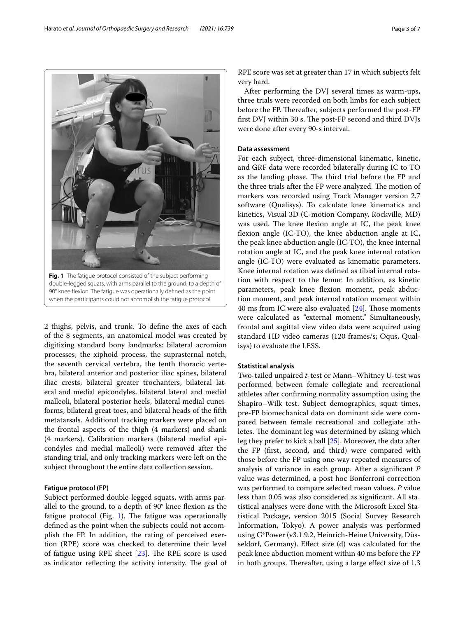<span id="page-2-0"></span>double-legged squats, with arms parallel to the ground, to a depth of 90° knee fexion. The fatigue was operationally defned as the point when the participants could not accomplish the fatigue protocol

2 thighs, pelvis, and trunk. To defne the axes of each of the 8 segments, an anatomical model was created by digitizing standard bony landmarks: bilateral acromion processes, the xiphoid process, the suprasternal notch, the seventh cervical vertebra, the tenth thoracic vertebra, bilateral anterior and posterior iliac spines, bilateral iliac crests, bilateral greater trochanters, bilateral lateral and medial epicondyles, bilateral lateral and medial malleoli, bilateral posterior heels, bilateral medial cuneiforms, bilateral great toes, and bilateral heads of the ffth metatarsals. Additional tracking markers were placed on the frontal aspects of the thigh (4 markers) and shank (4 markers). Calibration markers (bilateral medial epicondyles and medial malleoli) were removed after the standing trial, and only tracking markers were left on the subject throughout the entire data collection session.

## **Fatigue protocol (FP)**

Subject performed double-legged squats, with arms parallel to the ground, to a depth of 90° knee fexion as the fatigue protocol (Fig. [1](#page-2-0)). The fatigue was operationally defned as the point when the subjects could not accomplish the FP. In addition, the rating of perceived exertion (RPE) score was checked to determine their level of fatigue using RPE sheet  $[23]$ . The RPE score is used as indicator reflecting the activity intensity. The goal of RPE score was set at greater than 17 in which subjects felt very hard.

After performing the DVJ several times as warm-ups, three trials were recorded on both limbs for each subject before the FP. Thereafter, subjects performed the post-FP first DVJ within 30 s. The post-FP second and third DVJs were done after every 90-s interval.

## **Data assessment**

For each subject, three-dimensional kinematic, kinetic, and GRF data were recorded bilaterally during IC to TO as the landing phase. The third trial before the FP and the three trials after the FP were analyzed. The motion of markers was recorded using Track Manager version 2.7 software (Qualisys). To calculate knee kinematics and kinetics, Visual 3D (C-motion Company, Rockville, MD) was used. The knee flexion angle at IC, the peak knee fexion angle (IC-TO), the knee abduction angle at IC, the peak knee abduction angle (IC-TO), the knee internal rotation angle at IC, and the peak knee internal rotation angle (IC-TO) were evaluated as kinematic parameters. Knee internal rotation was defned as tibial internal rotation with respect to the femur. In addition, as kinetic parameters, peak knee fexion moment, peak abduction moment, and peak internal rotation moment within 40 ms from IC were also evaluated  $[24]$  $[24]$  $[24]$ . Those moments were calculated as "external moment." Simultaneously, frontal and sagittal view video data were acquired using standard HD video cameras (120 frames/s; Oqus, Qualisys) to evaluate the LESS.

## **Statistical analysis**

Two-tailed unpaired *t*-test or Mann–Whitney U-test was performed between female collegiate and recreational athletes after confrming normality assumption using the Shapiro–Wilk test. Subject demographics, squat times, pre-FP biomechanical data on dominant side were compared between female recreational and collegiate athletes. The dominant leg was determined by asking which leg they prefer to kick a ball [[25](#page-6-20)]. Moreover, the data after the FP (frst, second, and third) were compared with those before the FP using one-way repeated measures of analysis of variance in each group. After a signifcant *P* value was determined, a post hoc Bonferroni correction was performed to compare selected mean values. *P* value less than 0.05 was also considered as signifcant. All statistical analyses were done with the Microsoft Excel Statistical Package, version 2015 (Social Survey Research Information, Tokyo). A power analysis was performed using G\*Power (v3.1.9.2, Heinrich-Heine University, Düsseldorf, Germany). Efect size (d) was calculated for the peak knee abduction moment within 40 ms before the FP in both groups. Thereafter, using a large effect size of 1.3

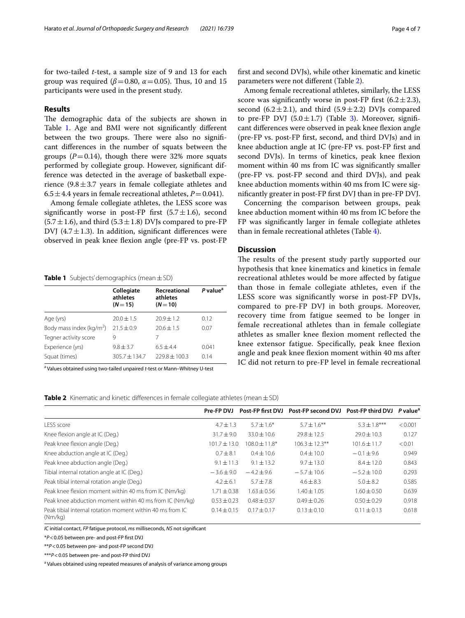for two-tailed *t*-test, a sample size of 9 and 13 for each group was required ( $\beta$ =0.80,  $\alpha$ =0.05). Thus, 10 and 15 participants were used in the present study.

## **Results**

The demographic data of the subjects are shown in Table [1](#page-3-0). Age and BMI were not significantly different between the two groups. There were also no significant diferences in the number of squats between the groups  $(P=0.14)$ , though there were 32% more squats performed by collegiate group. However, signifcant difference was detected in the average of basketball experience  $(9.8 \pm 3.7)$  years in female collegiate athletes and  $6.5 \pm 4.4$  years in female recreational athletes,  $P = 0.041$ .

Among female collegiate athletes, the LESS score was significantly worse in post-FP first  $(5.7 \pm 1.6)$ , second  $(5.7 \pm 1.6)$ , and third  $(5.3 \pm 1.8)$  DVJs compared to pre-FP DVJ (4.7 $\pm$ 1.3). In addition, significant differences were observed in peak knee fexion angle (pre-FP vs. post-FP

<span id="page-3-0"></span>**Table 1** Subjects' demographics (mean±SD)

|                             | Collegiate<br>athletes<br>$(N = 15)$ | Recreational<br>athletes<br>$(N=10)$ | P value <sup>a</sup> |
|-----------------------------|--------------------------------------|--------------------------------------|----------------------|
| Age (yrs)                   | $20.0 \pm 1.5$                       | $70.9 + 1.2$                         | 0.12                 |
| Body mass index ( $kg/m2$ ) | $21.5 \pm 0.9$                       | $20.6 \pm 1.5$                       | 0.07                 |
| Tegner activity score       | 9                                    | 7                                    |                      |
| Experience (yrs)            | $9.8 \pm 3.7$                        | $6.5 + 4.4$                          | 0.041                |
| Squat (times)               | $305.7 + 134.7$                      | $779.8 \pm 100.3$                    | 0.14                 |

<sup>a</sup> Values obtained using two-tailed unpaired *t*-test or Mann–Whitney U-test

frst and second DVJs), while other kinematic and kinetic parameters were not diferent (Table [2\)](#page-3-1).

Among female recreational athletes, similarly, the LESS score was significantly worse in post-FP first  $(6.2 \pm 2.3)$ , second (6.2 $\pm$ 2.1), and third (5.9 $\pm$ 2.2) DVJs compared to pre-FP DVJ  $(5.0 \pm 1.7)$  (Table [3](#page-4-0)). Moreover, significant differences were observed in peak knee flexion angle (pre-FP vs. post-FP frst, second, and third DVJs) and in knee abduction angle at IC (pre-FP vs. post-FP frst and second DVJs). In terms of kinetics, peak knee flexion moment within 40 ms from IC was signifcantly smaller (pre-FP vs. post-FP second and third DVJs), and peak knee abduction moments within 40 ms from IC were signifcantly greater in post-FP frst DVJ than in pre-FP DVJ.

Concerning the comparison between groups, peak knee abduction moment within 40 ms from IC before the FP was signifcantly larger in female collegiate athletes than in female recreational athletes (Table [4](#page-4-1)).

## **Discussion**

The results of the present study partly supported our hypothesis that knee kinematics and kinetics in female recreational athletes would be more afected by fatigue than those in female collegiate athletes, even if the LESS score was signifcantly worse in post-FP DVJs, compared to pre-FP DVJ in both groups. Moreover, recovery time from fatigue seemed to be longer in female recreational athletes than in female collegiate athletes as smaller knee fexion moment refected the knee extensor fatigue. Specifcally, peak knee fexion angle and peak knee fexion moment within 40 ms after IC did not return to pre-FP level in female recreational

<span id="page-3-1"></span>**Table 2** Kinematic and kinetic differences in female collegiate athletes (mean  $\pm$  SD)

|                                                                      | Pre-FP DVJ       |                   | Post-FP first DVJ Post-FP second DVJ Post-FP third DVJ P value <sup>a</sup> |                  |         |
|----------------------------------------------------------------------|------------------|-------------------|-----------------------------------------------------------------------------|------------------|---------|
| LESS score                                                           | $4.7 \pm 1.3$    | $5.7 + 1.6*$      | $5.7 + 1.6***$                                                              | $5.3 \pm 1.8***$ | < 0.001 |
| Knee flexion angle at IC (Deg.)                                      | $31.7 + 9.0$     | $33.0 \pm 10.6$   | $29.8 \pm 12.5$                                                             | $29.0 \pm 10.3$  | 0.127   |
| Peak knee flexion angle (Deg.)                                       | $101.7 \pm 13.0$ | $108.0 \pm 11.8*$ | $106.3 \pm 12.3$ **                                                         | $101.6 \pm 11.7$ | < 0.01  |
| Knee abduction angle at IC (Deg.)                                    | $0.7 \pm 8.1$    | $0.4 + 10.6$      | $0.4 + 10.0$                                                                | $-0.1 + 9.6$     | 0.949   |
| Peak knee abduction angle (Deg.)                                     | $9.1 \pm 11.3$   | $9.1 + 13.2$      | $9.7 + 13.0$                                                                | $8.4 \pm 12.0$   | 0.843   |
| Tibial internal rotation angle at IC (Deg.)                          | $-3.6 \pm 9.0$   | $-4.2 + 9.6$      | $-5.7 \pm 10.6$                                                             | $-5.2 \pm 10.0$  | 0.293   |
| Peak tibial internal rotation angle (Deg.)                           | $4.2 \pm 6.1$    | $5.7 \pm 7.8$     | $4.6 \pm 8.3$                                                               | $5.0 \pm 8.2$    | 0.585   |
| Peak knee flexion moment within 40 ms from IC (Nm/kg)                | $1.71 \pm 0.38$  | $1.63 \pm 0.56$   | $1.40 \pm 1.05$                                                             | $1.60 + 0.50$    | 0.639   |
| Peak knee abduction moment within 40 ms from IC (Nm/kg)              | $0.53 \pm 0.23$  | $0.48 + 0.37$     | $0.49 + 0.26$                                                               | $0.50 \pm 0.29$  | 0.918   |
| Peak tibial internal rotation moment within 40 ms from IC<br>(Nm/kg) | $0.14 \pm 0.15$  | $0.17 \pm 0.17$   | $0.13 \pm 0.10$                                                             | $0.11 \pm 0.13$  | 0.618   |

*IC* initial contact, *FP* fatigue protocol, *ms* milliseconds, *NS* not signifcant

\**P*<0.05 between pre- and post-FP frst DVJ

\*\**P*<0.05 between pre- and post-FP second DVJ

\*\*\**P*<0.05 between pre- and post-FP third DVJ

<sup>a</sup> Values obtained using repeated measures of analysis of variance among groups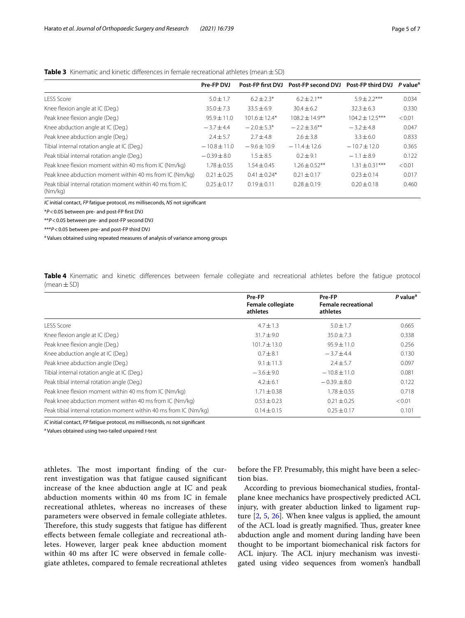|                                                                      | Pre-FP DVJ      | Post-FP first DVJ | Post-FP second DVJ  | Post-FP third DVJ   | P value <sup>a</sup> |
|----------------------------------------------------------------------|-----------------|-------------------|---------------------|---------------------|----------------------|
| <b>LESS Score</b>                                                    | $5.0 + 1.7$     | $6.2 + 2.3*$      | $6.2 \pm 2.1***$    | $5.9 + 2.2***$      | 0.034                |
| Knee flexion angle at IC (Deg.)                                      | $35.0 \pm 7.3$  | $33.5 \pm 6.9$    | $30.4 \pm 6.2$      | $32.3 \pm 6.3$      | 0.330                |
| Peak knee flexion angle (Deg.)                                       | $95.9 \pm 11.0$ | $101.6 \pm 12.4*$ | $108.2 \pm 14.9$ ** | $104.2 \pm 12.5***$ | < 0.01               |
| Knee abduction angle at IC (Deg.)                                    | $-3.7 + 4.4$    | $-2.0 + 5.3*$     | $-2.2 \pm 3.6$ **   | $-3.2 + 4.8$        | 0.047                |
| Peak knee abduction angle (Deg.)                                     | $7.4 + 5.7$     | $2.7 + 4.8$       | $2.6 \pm 3.8$       | $3.3 \pm 6.0$       | 0.833                |
| Tibial internal rotation angle at IC (Deg.)                          | $-10.8 + 11.0$  | $-9.6 \pm 10.9$   | $-11.4 \pm 12.6$    | $-10.7 \pm 12.0$    | 0.365                |
| Peak tibial internal rotation angle (Deg.)                           | $-0.39 \pm 8.0$ | $1.5 \pm 8.5$     | $0.2 + 9.1$         | $-1.1 + 8.9$        | 0.122                |
| Peak knee flexion moment within 40 ms from IC (Nm/kg)                | $1.78 \pm 0.55$ | $1.54 \pm 0.45$   | $1.26 \pm 0.52$ **  | $1.31 \pm 0.31***$  | < 0.01               |
| Peak knee abduction moment within 40 ms from IC (Nm/kg)              | $0.21 \pm 0.25$ | $0.41 \pm 0.24*$  | $0.21 \pm 0.17$     | $0.23 + 0.14$       | 0.017                |
| Peak tibial internal rotation moment within 40 ms from IC<br>(Nm/kg) | $0.25 \pm 0.17$ | $0.19 \pm 0.11$   | $0.28 \pm 0.19$     | $0.20 \pm 0.18$     | 0.460                |

## <span id="page-4-0"></span>**Table 3** Kinematic and kinetic differences in female recreational athletes (mean  $\pm$  SD)

*IC* initial contact, *FP* fatigue protocol, *ms* milliseconds, *NS* not signifcant

\**P*<0.05 between pre- and post-FP frst DVJ

\*\**P*<0.05 between pre- and post-FP second DVJ

\*\*\**P*<0.05 between pre- and post-FP third DVJ

<sup>a</sup> Values obtained using repeated measures of analysis of variance among groups

<span id="page-4-1"></span>**Table 4** Kinematic and kinetic diferences between female collegiate and recreational athletes before the fatigue protocol (mean±SD)

|                                                                   | Pre-FP<br><b>Female collegiate</b><br>athletes | Pre-FP<br><b>Female recreational</b><br>athletes | $P$ value <sup>a</sup> |
|-------------------------------------------------------------------|------------------------------------------------|--------------------------------------------------|------------------------|
| <b>LESS Score</b>                                                 | $4.7 \pm 1.3$                                  | $5.0 \pm 1.7$                                    | 0.665                  |
| Knee flexion angle at IC (Deg.)                                   | $31.7 \pm 9.0$                                 | $35.0 \pm 7.3$                                   | 0.338                  |
| Peak knee flexion angle (Deg.)                                    | $101.7 \pm 13.0$                               | $95.9 \pm 11.0$                                  | 0.256                  |
| Knee abduction angle at IC (Deg.)                                 | $0.7 + 8.1$                                    | $-3.7 + 4.4$                                     | 0.130                  |
| Peak knee abduction angle (Deg.)                                  | $9.1 \pm 11.3$                                 | $2.4 + 5.7$                                      | 0.097                  |
| Tibial internal rotation angle at IC (Deg.)                       | $-3.6 \pm 9.0$                                 | $-10.8 \pm 11.0$                                 | 0.081                  |
| Peak tibial internal rotation angle (Deg.)                        | $4.2 \pm 6.1$                                  | $-0.39 \pm 8.0$                                  | 0.122                  |
| Peak knee flexion moment within 40 ms from IC (Nm/kg)             | $1.71 \pm 0.38$                                | $1.78 \pm 0.55$                                  | 0.718                  |
| Peak knee abduction moment within 40 ms from IC (Nm/kg)           | $0.53 \pm 0.23$                                | $0.21 \pm 0.25$                                  | < 0.01                 |
| Peak tibial internal rotation moment within 40 ms from IC (Nm/kg) | $0.14 \pm 0.15$                                | $0.25 \pm 0.17$                                  | 0.101                  |

*IC* initial contact, *FP* fatigue protocol, *ms* milliseconds, *ns* not signifcant

a Values obtained using two-tailed unpaired *t*-test

athletes. The most important finding of the current investigation was that fatigue caused signifcant increase of the knee abduction angle at IC and peak abduction moments within 40 ms from IC in female recreational athletes, whereas no increases of these parameters were observed in female collegiate athletes. Therefore, this study suggests that fatigue has different efects between female collegiate and recreational athletes. However, larger peak knee abduction moment within 40 ms after IC were observed in female collegiate athletes, compared to female recreational athletes before the FP. Presumably, this might have been a selection bias.

According to previous biomechanical studies, frontalplane knee mechanics have prospectively predicted ACL injury, with greater abduction linked to ligament rupture  $[2, 5, 26]$  $[2, 5, 26]$  $[2, 5, 26]$  $[2, 5, 26]$  $[2, 5, 26]$  $[2, 5, 26]$ . When knee valgus is applied, the amount of the ACL load is greatly magnified. Thus, greater knee abduction angle and moment during landing have been thought to be important biomechanical risk factors for ACL injury. The ACL injury mechanism was investigated using video sequences from women's handball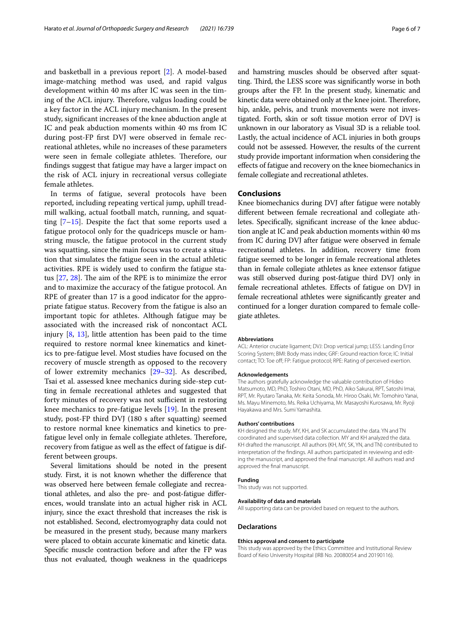and basketball in a previous report [[2\]](#page-6-1). A model-based image-matching method was used, and rapid valgus development within 40 ms after IC was seen in the timing of the ACL injury. Therefore, valgus loading could be a key factor in the ACL injury mechanism. In the present study, signifcant increases of the knee abduction angle at IC and peak abduction moments within 40 ms from IC during post-FP frst DVJ were observed in female recreational athletes, while no increases of these parameters were seen in female collegiate athletes. Therefore, our fndings suggest that fatigue may have a larger impact on the risk of ACL injury in recreational versus collegiate female athletes.

In terms of fatigue, several protocols have been reported, including repeating vertical jump, uphill treadmill walking, actual football match, running, and squatting  $[7-15]$  $[7-15]$  $[7-15]$ . Despite the fact that some reports used a fatigue protocol only for the quadriceps muscle or hamstring muscle, the fatigue protocol in the current study was squatting, since the main focus was to create a situation that simulates the fatigue seen in the actual athletic activities. RPE is widely used to confrm the fatigue status  $[27, 28]$  $[27, 28]$  $[27, 28]$ . The aim of the RPE is to minimize the error and to maximize the accuracy of the fatigue protocol. An RPE of greater than 17 is a good indicator for the appropriate fatigue status. Recovery from the fatigue is also an important topic for athletes. Although fatigue may be associated with the increased risk of noncontact ACL injury [[8,](#page-6-24) [13\]](#page-6-25), little attention has been paid to the time required to restore normal knee kinematics and kinetics to pre-fatigue level. Most studies have focused on the recovery of muscle strength as opposed to the recovery of lower extremity mechanics [[29](#page-6-26)[–32](#page-6-27)]. As described, Tsai et al. assessed knee mechanics during side-step cutting in female recreational athletes and suggested that forty minutes of recovery was not sufficient in restoring knee mechanics to pre-fatigue levels [[19\]](#page-6-15). In the present study, post-FP third DVJ (180 s after squatting) seemed to restore normal knee kinematics and kinetics to prefatigue level only in female collegiate athletes. Therefore, recovery from fatigue as well as the effect of fatigue is different between groups.

Several limitations should be noted in the present study. First, it is not known whether the diference that was observed here between female collegiate and recreational athletes, and also the pre- and post-fatigue diferences, would translate into an actual higher risk in ACL injury, since the exact threshold that increases the risk is not established. Second, electromyography data could not be measured in the present study, because many markers were placed to obtain accurate kinematic and kinetic data. Specifc muscle contraction before and after the FP was thus not evaluated, though weakness in the quadriceps and hamstring muscles should be observed after squatting. Third, the LESS score was significantly worse in both groups after the FP. In the present study, kinematic and kinetic data were obtained only at the knee joint. Therefore, hip, ankle, pelvis, and trunk movements were not investigated. Forth, skin or soft tissue motion error of DVJ is unknown in our laboratory as Visual 3D is a reliable tool. Lastly, the actual incidence of ACL injuries in both groups could not be assessed. However, the results of the current study provide important information when considering the efects of fatigue and recovery on the knee biomechanics in female collegiate and recreational athletes.

## **Conclusions**

Knee biomechanics during DVJ after fatigue were notably diferent between female recreational and collegiate athletes. Specifcally, signifcant increase of the knee abduction angle at IC and peak abduction moments within 40 ms from IC during DVJ after fatigue were observed in female recreational athletes. In addition, recovery time from fatigue seemed to be longer in female recreational athletes than in female collegiate athletes as knee extensor fatigue was still observed during post-fatigue third DVJ only in female recreational athletes. Efects of fatigue on DVJ in female recreational athletes were signifcantly greater and continued for a longer duration compared to female collegiate athletes.

#### **Abbreviations**

ACL: Anterior cruciate ligament; DVJ: Drop vertical jump; LESS: Landing Error Scoring System; BMI: Body mass index; GRF: Ground reaction force; IC: Initial contact; TO: Toe of; FP: Fatigue protocol; RPE: Rating of perceived exertion.

#### **Acknowledgements**

The authors gratefully acknowledge the valuable contribution of Hideo Matsumoto, MD, PhD, Toshiro Otani, MD, PhD, Aiko Sakurai, RPT, Satoshi Imai, RPT, Mr. Ryutaro Tanaka, Mr. Keita Sonoda, Mr. Hiroo Osaki, Mr. Tomohiro Yanai, Ms. Mayu Minemoto, Ms. Reika Uchiyama, Mr. Masayoshi Kurosawa, Mr. Ryoji Hayakawa and Mrs. Sumi Yamashita.

#### **Authors' contributions**

KH designed the study. MY, KH, and SK accumulated the data. YN and TN coordinated and supervised data collection. MY and KH analyzed the data. KH drafted the manuscript. All authors (KH, MY, SK, YN, and TN) contributed to interpretation of the fndings. All authors participated in reviewing and editing the manuscript, and approved the fnal manuscript. All authors read and approved the fnal manuscript.

#### **Funding**

This study was not supported.

#### **Availability of data and materials**

All supporting data can be provided based on request to the authors.

#### **Declarations**

#### **Ethics approval and consent to participate**

This study was approved by the Ethics Committee and Institutional Review Board of Keio University Hospital (IRB No. 20080054 and 20190116).